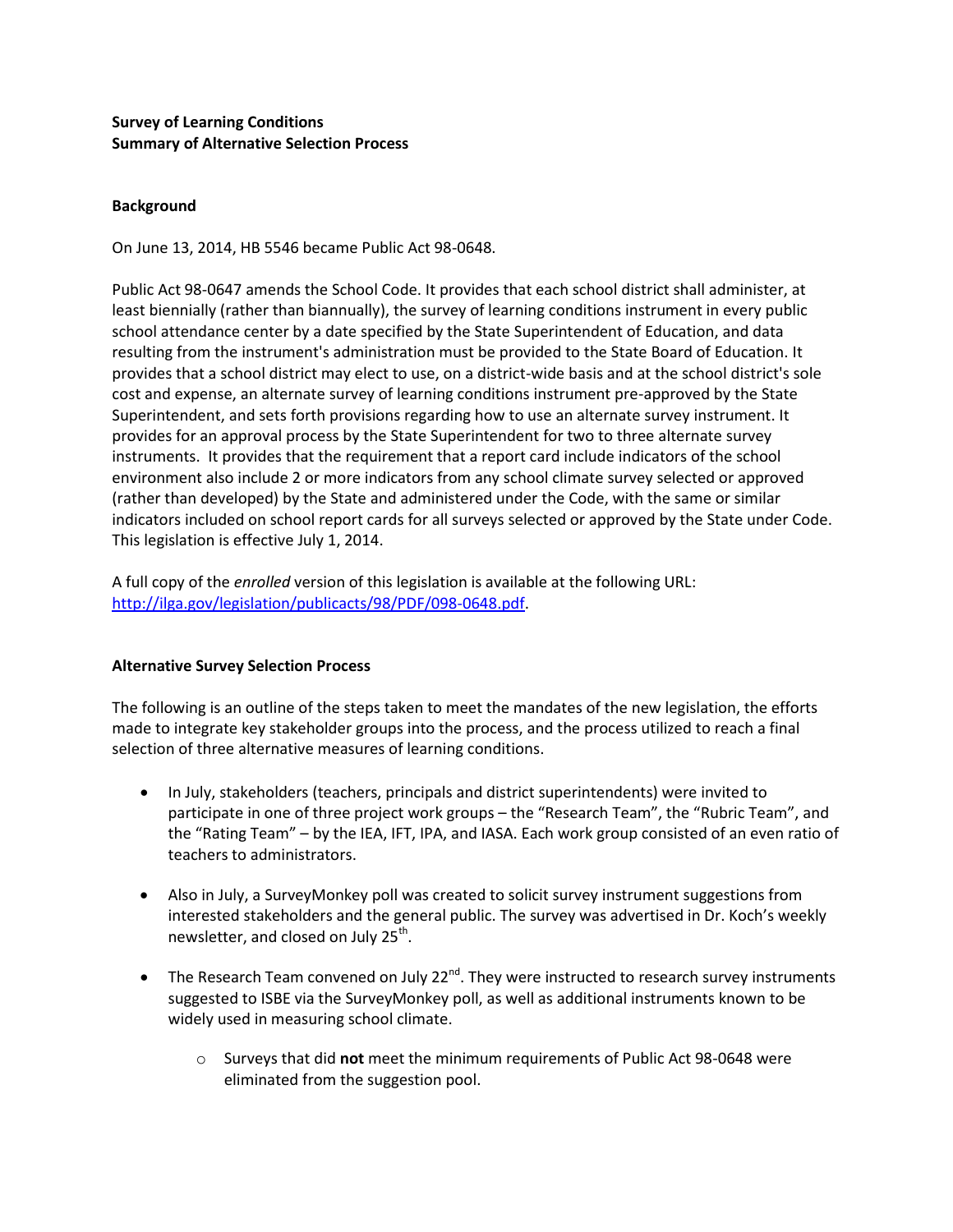### **Survey of Learning Conditions Summary of Alternative Selection Process**

#### **Background**

On June 13, 2014, HB 5546 became Public Act 98-0648.

Public Act 98-0647 amends the School Code. It provides that each school district shall administer, at least biennially (rather than biannually), the survey of learning conditions instrument in every public school attendance center by a date specified by the State Superintendent of Education, and data resulting from the instrument's administration must be provided to the State Board of Education. It provides that a school district may elect to use, on a district-wide basis and at the school district's sole cost and expense, an alternate survey of learning conditions instrument pre-approved by the State Superintendent, and sets forth provisions regarding how to use an alternate survey instrument. It provides for an approval process by the State Superintendent for two to three alternate survey instruments. It provides that the requirement that a report card include indicators of the school environment also include 2 or more indicators from any school climate survey selected or approved (rather than developed) by the State and administered under the Code, with the same or similar indicators included on school report cards for all surveys selected or approved by the State under Code. This legislation is effective July 1, 2014.

A full copy of the *enrolled* version of this legislation is available at the following URL: [http://ilga.gov/legislation/publicacts/98/PDF/098-0648.pdf.](https://secems1.isbe.net/owa/redir.aspx?C=bb51476311db4e57b4e5c3d68614b05f&URL=http%3a%2f%2filga.gov%2flegislation%2fpublicacts%2f98%2fPDF%2f098-0648.pdf)

#### **Alternative Survey Selection Process**

The following is an outline of the steps taken to meet the mandates of the new legislation, the efforts made to integrate key stakeholder groups into the process, and the process utilized to reach a final selection of three alternative measures of learning conditions.

- In July, stakeholders (teachers, principals and district superintendents) were invited to participate in one of three project work groups – the "Research Team", the "Rubric Team", and the "Rating Team" – by the IEA, IFT, IPA, and IASA. Each work group consisted of an even ratio of teachers to administrators.
- Also in July, a SurveyMonkey poll was created to solicit survey instrument suggestions from interested stakeholders and the general public. The survey was advertised in Dr. Koch's weekly newsletter, and closed on July 25<sup>th</sup>.
- $\bullet$  The Research Team convened on July 22<sup>nd</sup>. They were instructed to research survey instruments suggested to ISBE via the SurveyMonkey poll, as well as additional instruments known to be widely used in measuring school climate.
	- o Surveys that did **not** meet the minimum requirements of Public Act 98-0648 were eliminated from the suggestion pool.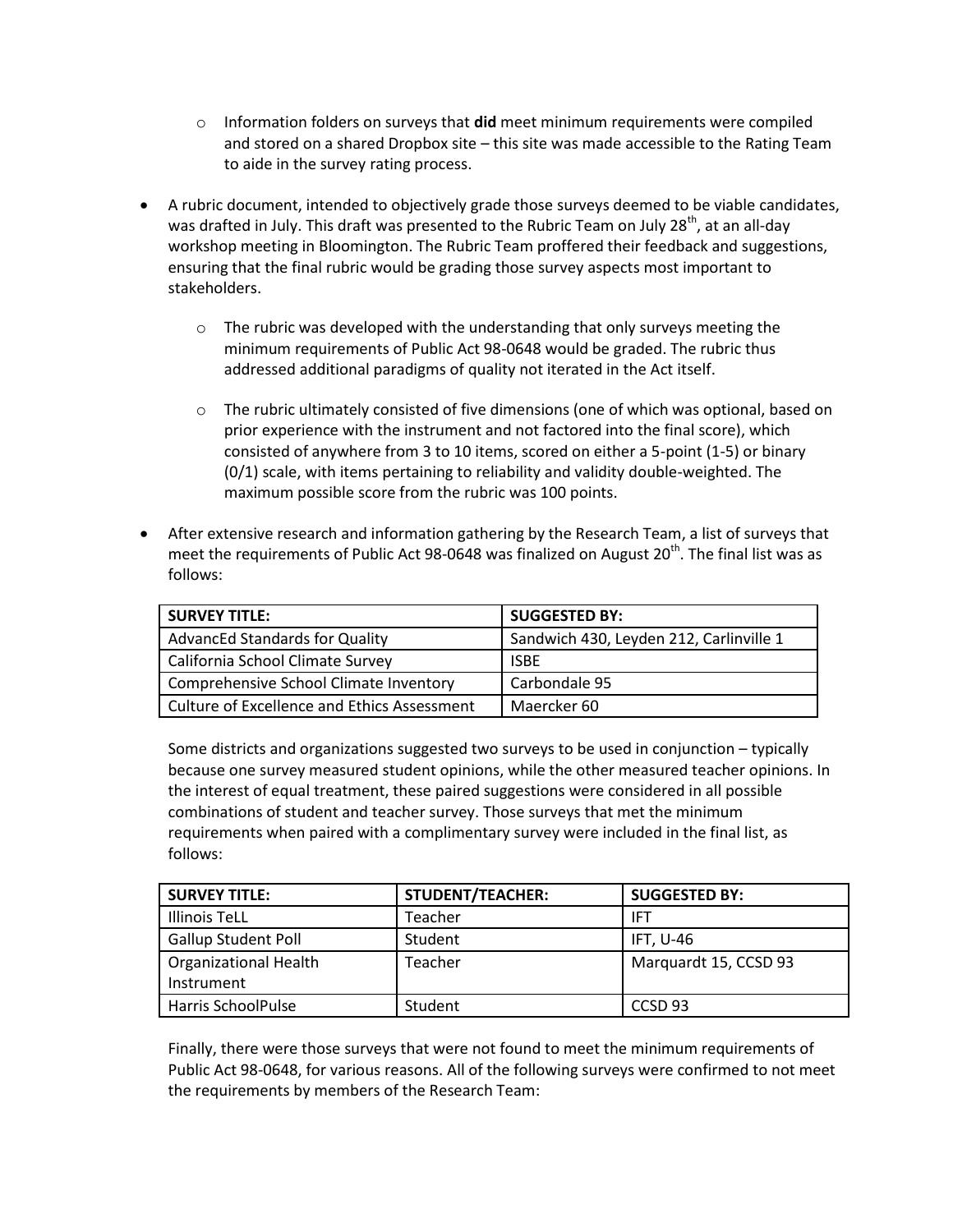- o Information folders on surveys that **did** meet minimum requirements were compiled and stored on a shared Dropbox site – this site was made accessible to the Rating Team to aide in the survey rating process.
- A rubric document, intended to objectively grade those surveys deemed to be viable candidates, was drafted in July. This draft was presented to the Rubric Team on July 28<sup>th</sup>, at an all-day workshop meeting in Bloomington. The Rubric Team proffered their feedback and suggestions, ensuring that the final rubric would be grading those survey aspects most important to stakeholders.
	- $\circ$  The rubric was developed with the understanding that only surveys meeting the minimum requirements of Public Act 98-0648 would be graded. The rubric thus addressed additional paradigms of quality not iterated in the Act itself.
	- $\circ$  The rubric ultimately consisted of five dimensions (one of which was optional, based on prior experience with the instrument and not factored into the final score), which consisted of anywhere from 3 to 10 items, scored on either a 5-point (1-5) or binary (0/1) scale, with items pertaining to reliability and validity double-weighted. The maximum possible score from the rubric was 100 points.
- After extensive research and information gathering by the Research Team, a list of surveys that meet the requirements of Public Act 98-0648 was finalized on August 20<sup>th</sup>. The final list was as follows:

| <b>SURVEY TITLE:</b>                        | <b>SUGGESTED BY:</b>                    |
|---------------------------------------------|-----------------------------------------|
| <b>AdvancEd Standards for Quality</b>       | Sandwich 430, Leyden 212, Carlinville 1 |
| California School Climate Survey            | <b>ISBE</b>                             |
| Comprehensive School Climate Inventory      | Carbondale 95                           |
| Culture of Excellence and Ethics Assessment | Maercker 60                             |

Some districts and organizations suggested two surveys to be used in conjunction – typically because one survey measured student opinions, while the other measured teacher opinions. In the interest of equal treatment, these paired suggestions were considered in all possible combinations of student and teacher survey. Those surveys that met the minimum requirements when paired with a complimentary survey were included in the final list, as follows:

| <b>SURVEY TITLE:</b>         | <b>STUDENT/TEACHER:</b> | <b>SUGGESTED BY:</b>  |
|------------------------------|-------------------------|-----------------------|
| <b>Illinois TeLL</b>         | Teacher                 | <b>IFT</b>            |
| <b>Gallup Student Poll</b>   | Student                 | IFT, U-46             |
| <b>Organizational Health</b> | Teacher                 | Marquardt 15, CCSD 93 |
| Instrument                   |                         |                       |
| Harris SchoolPulse           | Student                 | CCSD <sub>93</sub>    |

Finally, there were those surveys that were not found to meet the minimum requirements of Public Act 98-0648, for various reasons. All of the following surveys were confirmed to not meet the requirements by members of the Research Team: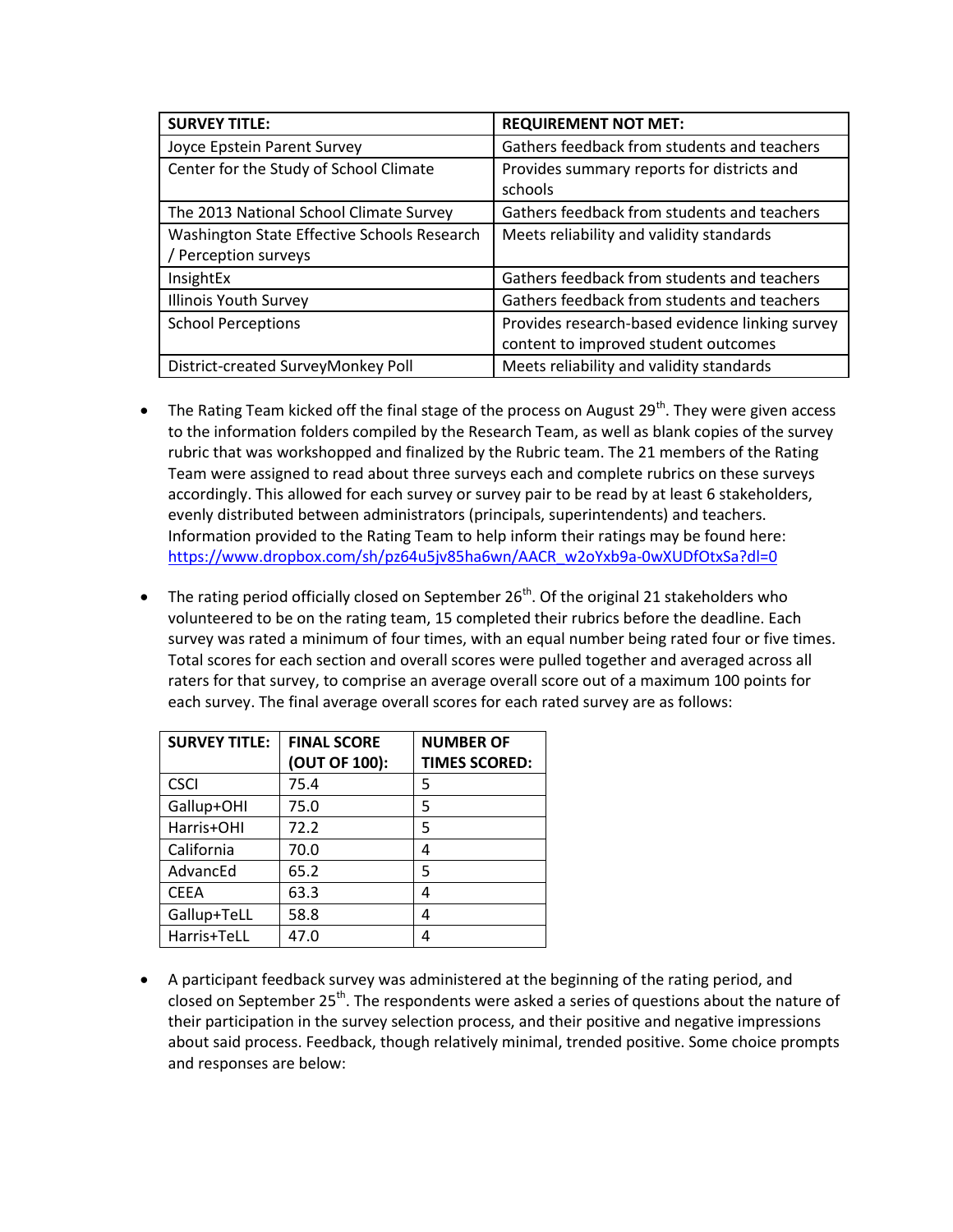| <b>SURVEY TITLE:</b>                        | <b>REQUIREMENT NOT MET:</b>                     |
|---------------------------------------------|-------------------------------------------------|
| Joyce Epstein Parent Survey                 | Gathers feedback from students and teachers     |
| Center for the Study of School Climate      | Provides summary reports for districts and      |
|                                             | schools                                         |
| The 2013 National School Climate Survey     | Gathers feedback from students and teachers     |
| Washington State Effective Schools Research | Meets reliability and validity standards        |
| / Perception surveys                        |                                                 |
| InsightEx                                   | Gathers feedback from students and teachers     |
| <b>Illinois Youth Survey</b>                | Gathers feedback from students and teachers     |
| <b>School Perceptions</b>                   | Provides research-based evidence linking survey |
|                                             | content to improved student outcomes            |
| District-created SurveyMonkey Poll          | Meets reliability and validity standards        |

- The Rating Team kicked off the final stage of the process on August 29<sup>th</sup>. They were given access to the information folders compiled by the Research Team, as well as blank copies of the survey rubric that was workshopped and finalized by the Rubric team. The 21 members of the Rating Team were assigned to read about three surveys each and complete rubrics on these surveys accordingly. This allowed for each survey or survey pair to be read by at least 6 stakeholders, evenly distributed between administrators (principals, superintendents) and teachers. Information provided to the Rating Team to help inform their ratings may be found here: https://www.dropbox.com/sh/pz64u5jv85ha6wn/AACR\_w2oYxb9a-0wXUDfOtxSa?dl=0
- The rating period officially closed on September  $26<sup>th</sup>$ . Of the original 21 stakeholders who volunteered to be on the rating team, 15 completed their rubrics before the deadline. Each survey was rated a minimum of four times, with an equal number being rated four or five times. Total scores for each section and overall scores were pulled together and averaged across all raters for that survey, to comprise an average overall score out of a maximum 100 points for each survey. The final average overall scores for each rated survey are as follows:

| <b>SURVEY TITLE:</b> | <b>FINAL SCORE</b><br>(OUT OF 100): | <b>NUMBER OF</b><br><b>TIMES SCORED:</b> |
|----------------------|-------------------------------------|------------------------------------------|
| <b>CSCI</b>          | 75.4                                | 5                                        |
| Gallup+OHI           | 75.0                                | 5                                        |
| Harris+OHI           | 72.2                                | 5                                        |
| California           | 70.0                                | 4                                        |
| AdvancEd             | 65.2                                | 5                                        |
| <b>CEEA</b>          | 63.3                                | 4                                        |
| Gallup+TeLL          | 58.8                                | 4                                        |
| Harris+TeLL          | 47.0                                | Δ                                        |

 A participant feedback survey was administered at the beginning of the rating period, and closed on September 25<sup>th</sup>. The respondents were asked a series of questions about the nature of their participation in the survey selection process, and their positive and negative impressions about said process. Feedback, though relatively minimal, trended positive. Some choice prompts and responses are below: